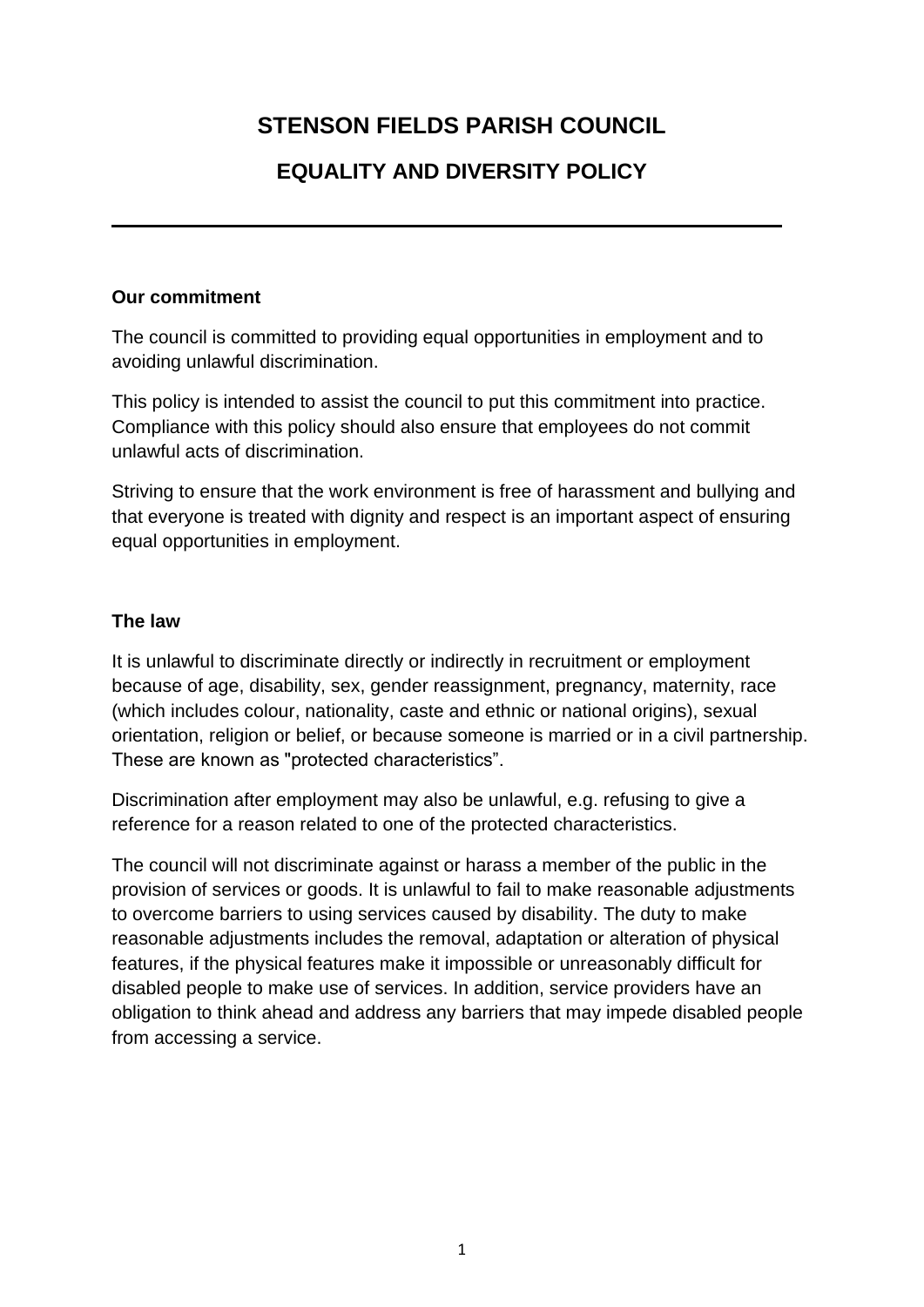# **STENSON FIELDS PARISH COUNCIL**

# **EQUALITY AND DIVERSITY POLICY**

#### **Our commitment**

The council is committed to providing equal opportunities in employment and to avoiding unlawful discrimination.

This policy is intended to assist the council to put this commitment into practice. Compliance with this policy should also ensure that employees do not commit unlawful acts of discrimination.

Striving to ensure that the work environment is free of harassment and bullying and that everyone is treated with dignity and respect is an important aspect of ensuring equal opportunities in employment.

#### **The law**

It is unlawful to discriminate directly or indirectly in recruitment or employment because of age, disability, sex, gender reassignment, pregnancy, maternity, race (which includes colour, nationality, caste and ethnic or national origins), sexual orientation, religion or belief, or because someone is married or in a civil partnership. These are known as "protected characteristics".

Discrimination after employment may also be unlawful, e.g. refusing to give a reference for a reason related to one of the protected characteristics.

The council will not discriminate against or harass a member of the public in the provision of services or goods. It is unlawful to fail to make reasonable adjustments to overcome barriers to using services caused by disability. The duty to make reasonable adjustments includes the removal, adaptation or alteration of physical features, if the physical features make it impossible or unreasonably difficult for disabled people to make use of services. In addition, service providers have an obligation to think ahead and address any barriers that may impede disabled people from accessing a service.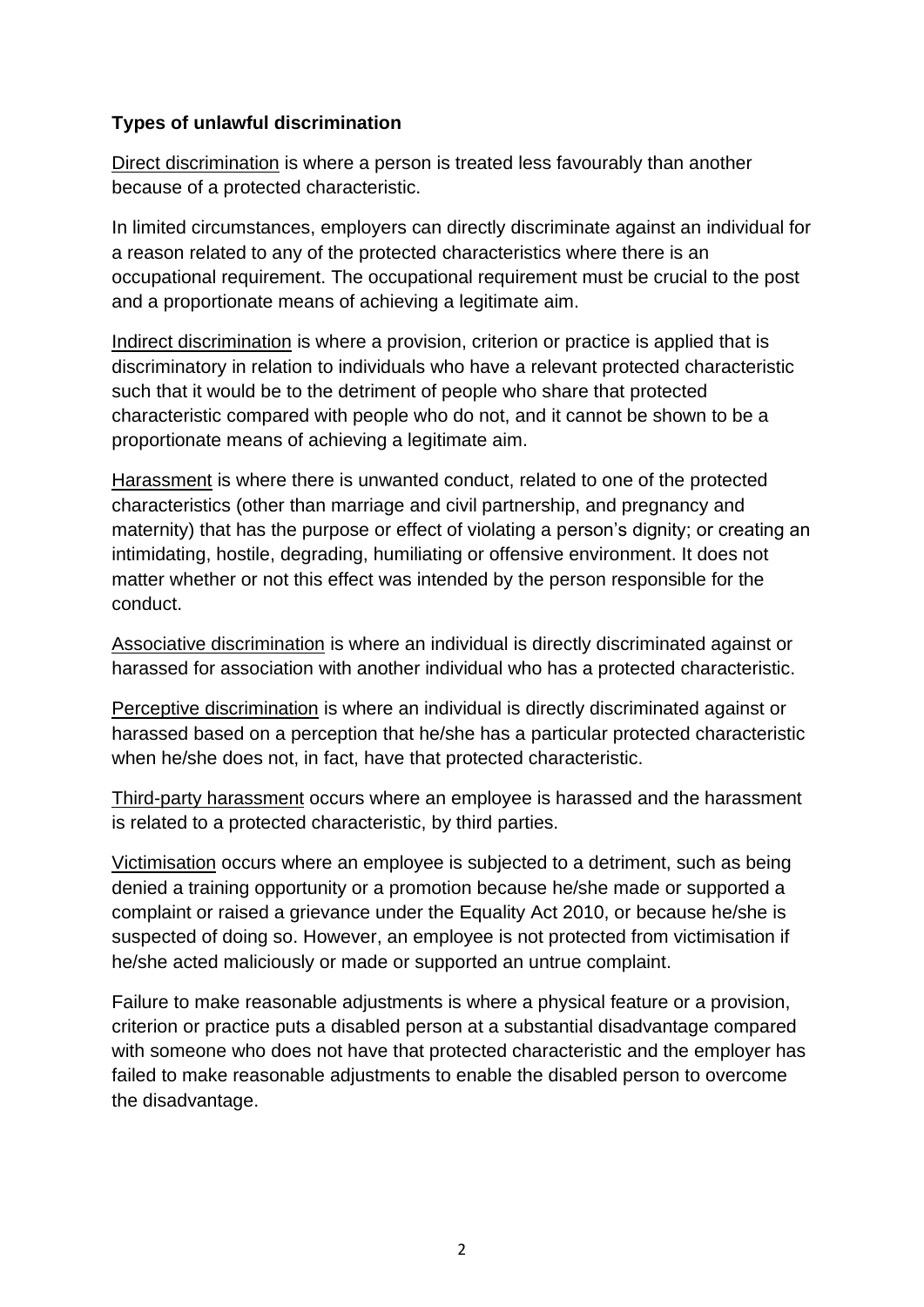### **Types of unlawful discrimination**

Direct discrimination is where a person is treated less favourably than another because of a protected characteristic.

In limited circumstances, employers can directly discriminate against an individual for a reason related to any of the protected characteristics where there is an occupational requirement. The occupational requirement must be crucial to the post and a proportionate means of achieving a legitimate aim.

Indirect discrimination is where a provision, criterion or practice is applied that is discriminatory in relation to individuals who have a relevant protected characteristic such that it would be to the detriment of people who share that protected characteristic compared with people who do not, and it cannot be shown to be a proportionate means of achieving a legitimate aim.

Harassment is where there is unwanted conduct, related to one of the protected characteristics (other than marriage and civil partnership, and pregnancy and maternity) that has the purpose or effect of violating a person's dignity; or creating an intimidating, hostile, degrading, humiliating or offensive environment. It does not matter whether or not this effect was intended by the person responsible for the conduct.

Associative discrimination is where an individual is directly discriminated against or harassed for association with another individual who has a protected characteristic.

Perceptive discrimination is where an individual is directly discriminated against or harassed based on a perception that he/she has a particular protected characteristic when he/she does not, in fact, have that protected characteristic.

Third-party harassment occurs where an employee is harassed and the harassment is related to a protected characteristic, by third parties.

Victimisation occurs where an employee is subjected to a detriment, such as being denied a training opportunity or a promotion because he/she made or supported a complaint or raised a grievance under the Equality Act 2010, or because he/she is suspected of doing so. However, an employee is not protected from victimisation if he/she acted maliciously or made or supported an untrue complaint.

Failure to make reasonable adjustments is where a physical feature or a provision, criterion or practice puts a disabled person at a substantial disadvantage compared with someone who does not have that protected characteristic and the employer has failed to make reasonable adjustments to enable the disabled person to overcome the disadvantage.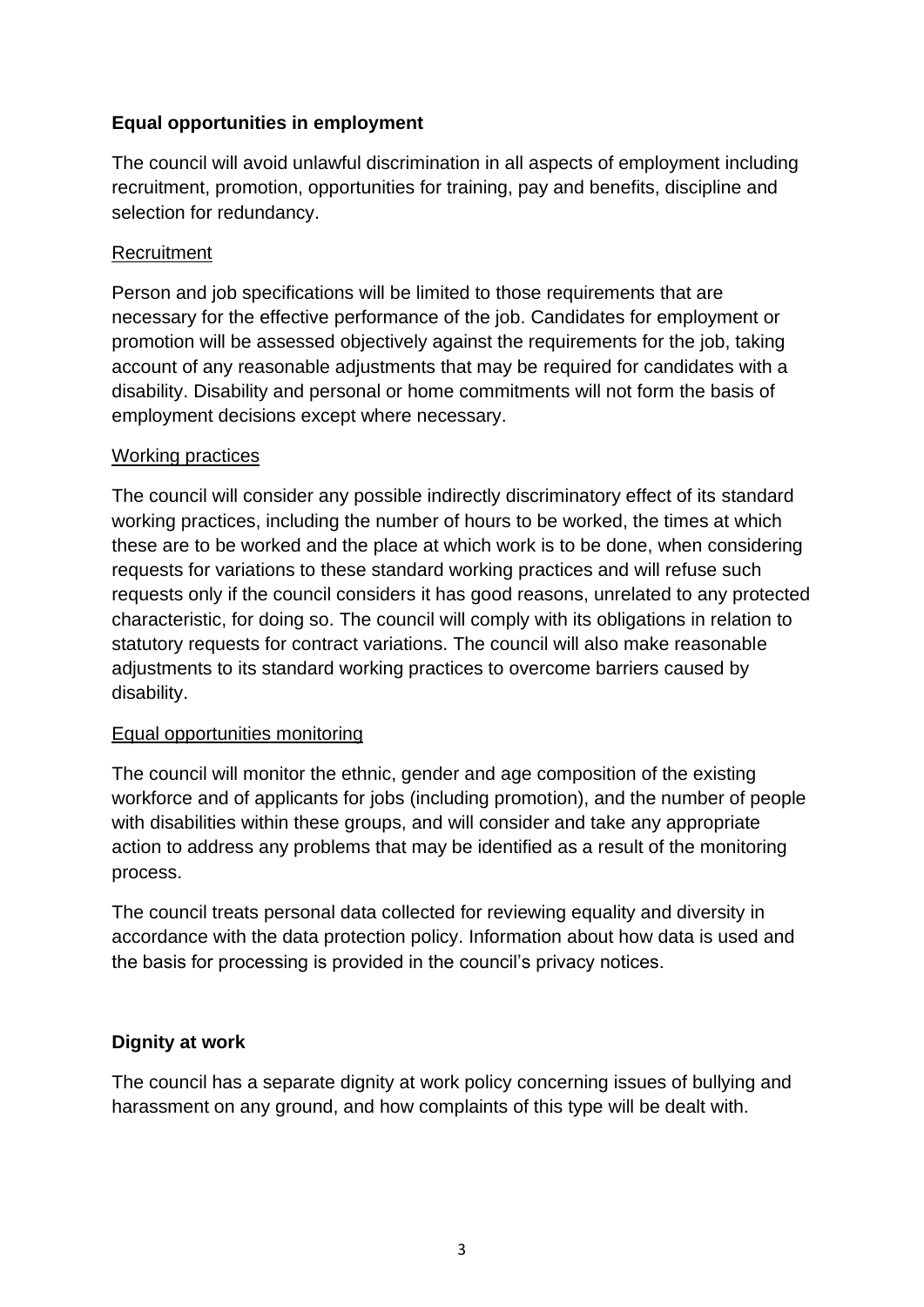## **Equal opportunities in employment**

The council will avoid unlawful discrimination in all aspects of employment including recruitment, promotion, opportunities for training, pay and benefits, discipline and selection for redundancy.

#### **Recruitment**

Person and job specifications will be limited to those requirements that are necessary for the effective performance of the job. Candidates for employment or promotion will be assessed objectively against the requirements for the job, taking account of any reasonable adjustments that may be required for candidates with a disability. Disability and personal or home commitments will not form the basis of employment decisions except where necessary.

#### Working practices

The council will consider any possible indirectly discriminatory effect of its standard working practices, including the number of hours to be worked, the times at which these are to be worked and the place at which work is to be done, when considering requests for variations to these standard working practices and will refuse such requests only if the council considers it has good reasons, unrelated to any protected characteristic, for doing so. The council will comply with its obligations in relation to statutory requests for contract variations. The council will also make reasonable adjustments to its standard working practices to overcome barriers caused by disability.

#### Equal opportunities monitoring

The council will monitor the ethnic, gender and age composition of the existing workforce and of applicants for jobs (including promotion), and the number of people with disabilities within these groups, and will consider and take any appropriate action to address any problems that may be identified as a result of the monitoring process.

The council treats personal data collected for reviewing equality and diversity in accordance with the data protection policy. Information about how data is used and the basis for processing is provided in the council's privacy notices.

#### **Dignity at work**

The council has a separate dignity at work policy concerning issues of bullying and harassment on any ground, and how complaints of this type will be dealt with.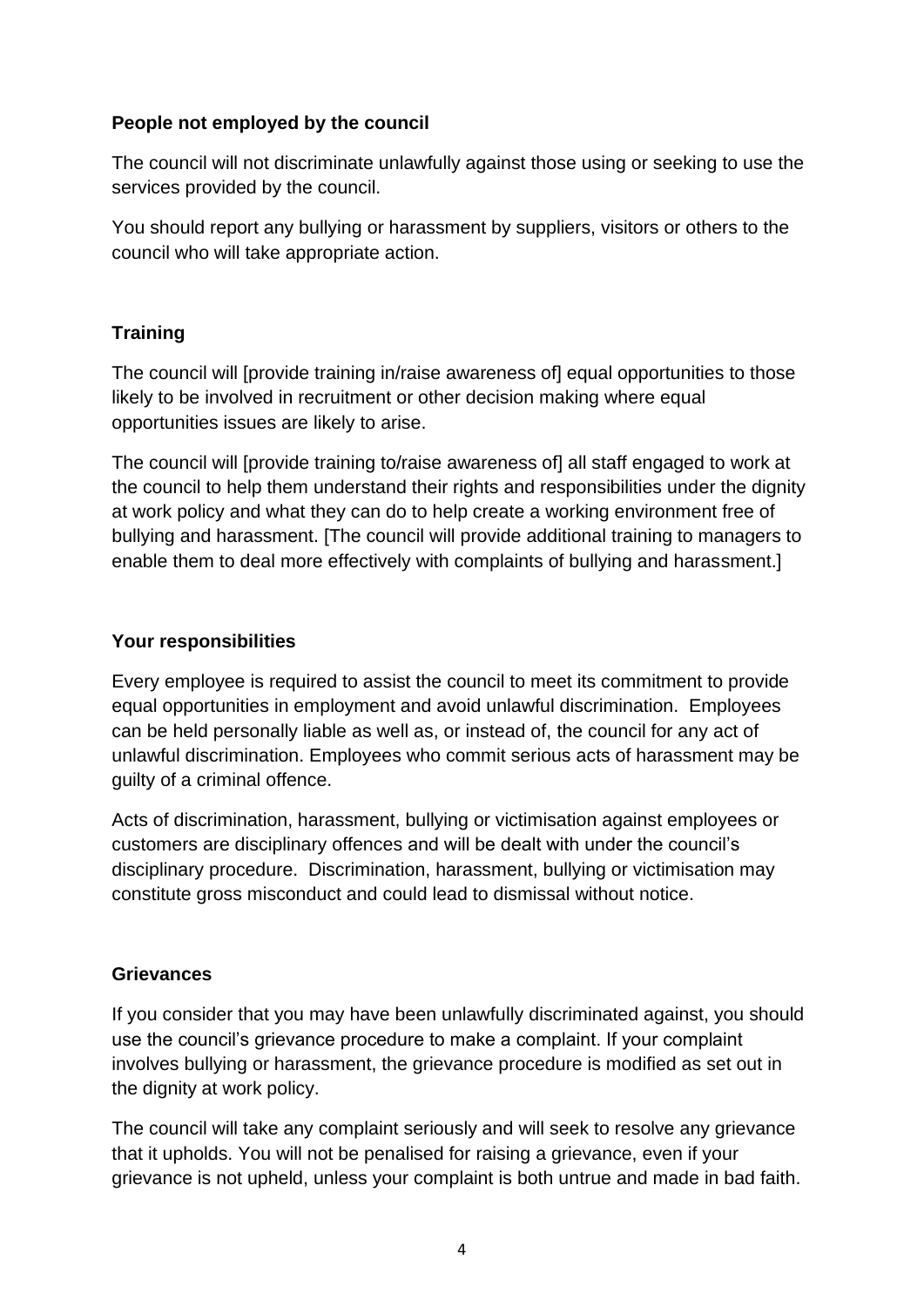### **People not employed by the council**

The council will not discriminate unlawfully against those using or seeking to use the services provided by the council.

You should report any bullying or harassment by suppliers, visitors or others to the council who will take appropriate action.

# **Training**

The council will [provide training in/raise awareness of] equal opportunities to those likely to be involved in recruitment or other decision making where equal opportunities issues are likely to arise.

The council will [provide training to/raise awareness of] all staff engaged to work at the council to help them understand their rights and responsibilities under the dignity at work policy and what they can do to help create a working environment free of bullying and harassment. [The council will provide additional training to managers to enable them to deal more effectively with complaints of bullying and harassment.]

## **Your responsibilities**

Every employee is required to assist the council to meet its commitment to provide equal opportunities in employment and avoid unlawful discrimination. Employees can be held personally liable as well as, or instead of, the council for any act of unlawful discrimination. Employees who commit serious acts of harassment may be guilty of a criminal offence.

Acts of discrimination, harassment, bullying or victimisation against employees or customers are disciplinary offences and will be dealt with under the council's disciplinary procedure. Discrimination, harassment, bullying or victimisation may constitute gross misconduct and could lead to dismissal without notice.

# **Grievances**

If you consider that you may have been unlawfully discriminated against, you should use the council's grievance procedure to make a complaint. If your complaint involves bullying or harassment, the grievance procedure is modified as set out in the dignity at work policy.

The council will take any complaint seriously and will seek to resolve any grievance that it upholds. You will not be penalised for raising a grievance, even if your grievance is not upheld, unless your complaint is both untrue and made in bad faith.